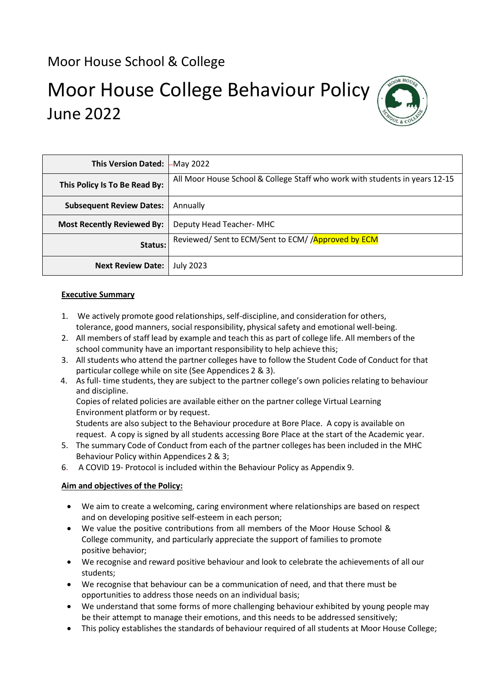# Moor House School & College

# Moor House College Behaviour Policy June 2022



| <b>This Version Dated:</b>        | -May 2022                                                                   |
|-----------------------------------|-----------------------------------------------------------------------------|
| This Policy Is To Be Read By:     | All Moor House School & College Staff who work with students in years 12-15 |
| <b>Subsequent Review Dates:</b>   | Annually                                                                    |
| <b>Most Recently Reviewed By:</b> | Deputy Head Teacher-MHC                                                     |
| Status:                           | Reviewed/ Sent to ECM/Sent to ECM/ / Approved by ECM                        |
| <b>Next Review Date:</b>          | July 2023                                                                   |

# **Executive Summary**

- 1. We actively promote good relationships,self-discipline, and consideration for others, tolerance, good manners, social responsibility, physical safety and emotional well-being.
- 2. All members of staff lead by example and teach this as part of college life. All members of the school community have an important responsibility to help achieve this;
- 3. All students who attend the partner colleges have to follow the Student Code of Conduct for that particular college while on site (See Appendices 2 & 3).
- 4. As full- time students, they are subject to the partner college's own policies relating to behaviour and discipline.

Copies of related policies are available either on the partner college Virtual Learning Environment platform or by request.

Students are also subject to the Behaviour procedure at Bore Place. A copy is available on request. A copy is signed by all students accessing Bore Place at the start of the Academic year.

- 5. The summary Code of Conduct from each of the partner colleges has been included in the MHC Behaviour Policy within Appendices 2 & 3;
- 6. A COVID 19- Protocol is included within the Behaviour Policy as Appendix 9.

# **Aim and objectives of the Policy:**

- We aim to create a welcoming, caring environment where relationships are based on respect and on developing positive self-esteem in each person;
- We value the positive contributions from all members of the Moor House School & College community, and particularly appreciate the support of families to promote positive behavior;
- We recognise and reward positive behaviour and look to celebrate the achievements of all our students;
- We recognise that behaviour can be a communication of need, and that there must be opportunities to address those needs on an individual basis;
- We understand that some forms of more challenging behaviour exhibited by young people may be their attempt to manage their emotions, and this needs to be addressed sensitively;
- This policy establishes the standards of behaviour required of all students at Moor House College;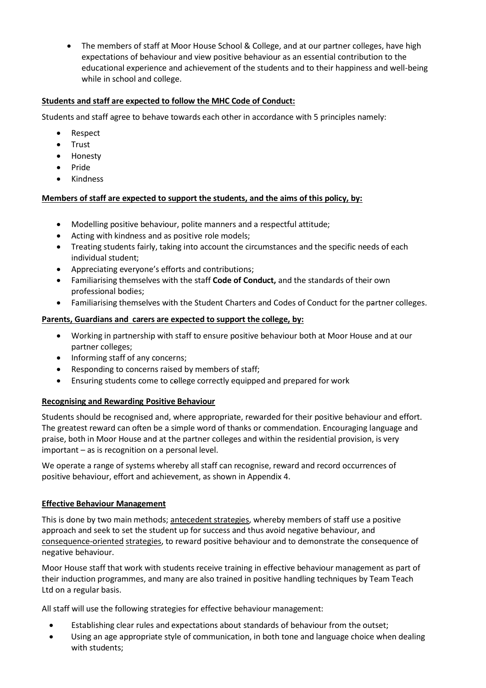• The members of staff at Moor House School & College, and at our partner colleges, have high expectations of behaviour and view positive behaviour as an essential contribution to the educational experience and achievement of the students and to their happiness and well-being while in school and college.

# **Students and staff are expected to follow the MHC Code of Conduct:**

Students and staff agree to behave towards each other in accordance with 5 principles namely:

- Respect
- Trust
- Honesty
- Pride
- **Kindness**

# **Members of staff are expected to support the students, and the aims of this policy, by:**

- Modelling positive behaviour, polite manners and a respectful attitude;
- Acting with kindness and as positive role models;
- Treating students fairly, taking into account the circumstances and the specific needs of each individual student;
- Appreciating everyone's efforts and contributions;
- Familiarising themselves with the staff **Code of Conduct,** and the standards of their own professional bodies;
- Familiarising themselves with the Student Charters and Codes of Conduct for the partner colleges.

# **Parents, Guardians and carers are expected to support the college, by:**

- Working in partnership with staff to ensure positive behaviour both at Moor House and at our partner colleges;
- Informing staff of any concerns;
- Responding to concerns raised by members of staff;
- Ensuring students come to college correctly equipped and prepared for work

# **Recognising and Rewarding Positive Behaviour**

Students should be recognised and, where appropriate, rewarded for their positive behaviour and effort. The greatest reward can often be a simple word of thanks or commendation. Encouraging language and praise, both in Moor House and at the partner colleges and within the residential provision, is very important – as is recognition on a personal level.

We operate a range of systems whereby all staff can recognise, reward and record occurrences of positive behaviour, effort and achievement, as shown in Appendix 4.

# **Effective Behaviour Management**

This is done by two main methods; antecedent strategies, whereby members of staff use a positive approach and seek to set the student up for success and thus avoid negative behaviour, and consequence-oriented strategies, to reward positive behaviour and to demonstrate the consequence of negative behaviour.

Moor House staff that work with students receive training in effective behaviour management as part of their induction programmes, and many are also trained in positive handling techniques by Team Teach Ltd on a regular basis.

All staff will use the following strategies for effective behaviour management:

- Establishing clear rules and expectations about standards of behaviour from the outset;
- Using an age appropriate style of communication, in both tone and language choice when dealing with students;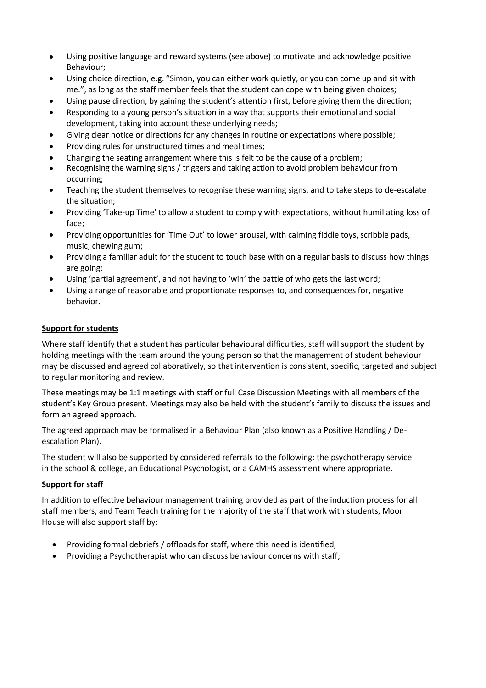- Using positive language and reward systems (see above) to motivate and acknowledge positive Behaviour;
- Using choice direction, e.g. "Simon, you can either work quietly, or you can come up and sit with me.", as long as the staff member feels that the student can cope with being given choices;
- Using pause direction, by gaining the student's attention first, before giving them the direction;
- Responding to a young person's situation in a way that supports their emotional and social development, taking into account these underlying needs;
- Giving clear notice or directions for any changes in routine or expectations where possible;
- Providing rules for unstructured times and meal times;
- Changing the seating arrangement where this is felt to be the cause of a problem;
- Recognising the warning signs / triggers and taking action to avoid problem behaviour from occurring;
- Teaching the student themselves to recognise these warning signs, and to take steps to de-escalate the situation;
- Providing 'Take-up Time' to allow a student to comply with expectations, without humiliating loss of face;
- Providing opportunities for 'Time Out' to lower arousal, with calming fiddle toys, scribble pads, music, chewing gum;
- Providing a familiar adult for the student to touch base with on a regular basis to discuss how things are going;
- Using 'partial agreement', and not having to 'win' the battle of who gets the last word;
- Using a range of reasonable and proportionate responses to, and consequences for, negative behavior.

#### **Support for students**

Where staff identify that a student has particular behavioural difficulties, staff will support the student by holding meetings with the team around the young person so that the management of student behaviour may be discussed and agreed collaboratively, so that intervention is consistent, specific, targeted and subject to regular monitoring and review.

These meetings may be 1:1 meetings with staff or full Case Discussion Meetings with all members of the student's Key Group present. Meetings may also be held with the student's family to discuss the issues and form an agreed approach.

The agreed approach may be formalised in a Behaviour Plan (also known as a Positive Handling / Deescalation Plan).

The student will also be supported by considered referrals to the following: the psychotherapy service in the school & college, an Educational Psychologist, or a CAMHS assessment where appropriate.

#### **Support for staff**

In addition to effective behaviour management training provided as part of the induction process for all staff members, and Team Teach training for the majority of the staff that work with students, Moor House will also support staff by:

- Providing formal debriefs / offloads for staff, where this need is identified;
- Providing a Psychotherapist who can discuss behaviour concerns with staff;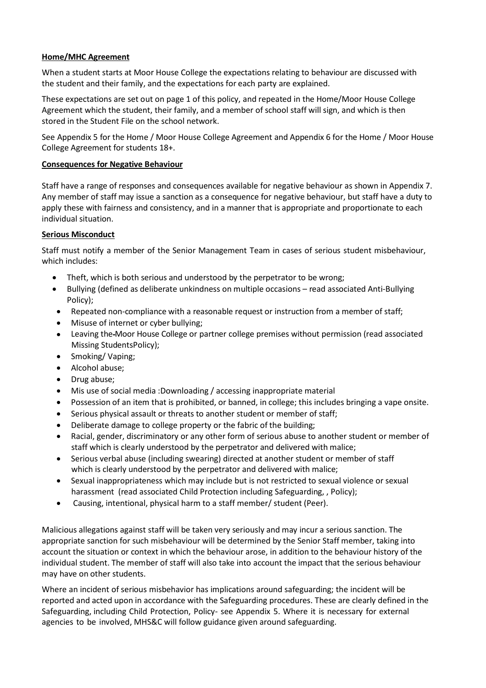#### **Home/MHC Agreement**

When a student starts at Moor House College the expectations relating to behaviour are discussed with the student and their family, and the expectations for each party are explained.

These expectations are set out on page 1 of this policy, and repeated in the Home/Moor House College Agreement which the student, their family, and a member of school staff will sign, and which is then stored in the Student File on the school network.

See Appendix 5 for the Home / Moor House College Agreement and Appendix 6 for the Home / Moor House College Agreement for students 18+.

#### **Consequences for Negative Behaviour**

Staff have a range of responses and consequences available for negative behaviour as shown in Appendix 7. Any member of staff may issue a sanction as a consequence for negative behaviour, but staff have a duty to apply these with fairness and consistency, and in a manner that is appropriate and proportionate to each individual situation.

#### **Serious Misconduct**

Staff must notify a member of the Senior Management Team in cases of serious student misbehaviour, which includes:

- Theft, which is both serious and understood by the perpetrator to be wrong;
- Bullying (defined as deliberate unkindness on multiple occasions read associated Anti-Bullying Policy);
- Repeated non-compliance with a reasonable request or instruction from a member of staff;
- Misuse of internet or cyber bullying;
- Leaving the Moor House College or partner college premises without permission (read associated Missing StudentsPolicy);
- Smoking/ Vaping;
- Alcohol abuse;
- Drug abuse;
- Mis use of social media :Downloading / accessing inappropriate material
- Possession of an item that is prohibited, or banned, in college; this includes bringing a vape onsite.
- Serious physical assault or threats to another student or member of staff;
- Deliberate damage to college property or the fabric of the building;
- Racial, gender, discriminatory or any other form of serious abuse to another student or member of staff which is clearly understood by the perpetrator and delivered with malice;
- Serious verbal abuse (including swearing) directed at another student or member of staff which is clearly understood by the perpetrator and delivered with malice;
- Sexual inappropriateness which may include but is not restricted to sexual violence or sexual harassment (read associated Child Protection including Safeguarding, , Policy);
- Causing, intentional, physical harm to a staff member/ student (Peer).

Malicious allegations against staff will be taken very seriously and may incur a serious sanction. The appropriate sanction for such misbehaviour will be determined by the Senior Staff member, taking into account the situation or context in which the behaviour arose, in addition to the behaviour history of the individual student. The member of staff will also take into account the impact that the serious behaviour may have on other students.

Where an incident of serious misbehavior has implications around safeguarding; the incident will be reported and acted upon in accordance with the Safeguarding procedures. These are clearly defined in the Safeguarding, including Child Protection, Policy- see Appendix 5. Where it is necessary for external agencies to be involved, MHS&C will follow guidance given around safeguarding.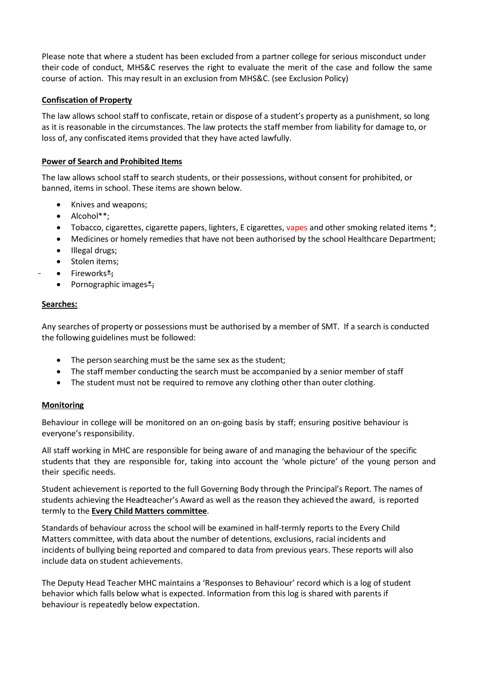Please note that where a student has been excluded from a partner college for serious misconduct under their code of conduct, MHS&C reserves the right to evaluate the merit of the case and follow the same course of action. This may result in an exclusion from MHS&C. (see Exclusion Policy)

## **Confiscation of Property**

The law allows school staff to confiscate, retain or dispose of a student's property as a punishment, so long as it is reasonable in the circumstances. The law protects the staff member from liability for damage to, or loss of, any confiscated items provided that they have acted lawfully.

#### **Power of Search and Prohibited Items**

The law allows school staff to search students, or their possessions, without consent for prohibited, or banned, items in school. These items are shown below.

- Knives and weapons;
- Alcohol\*\*;
- Tobacco, cigarettes, cigarette papers, lighters, E cigarettes, vapes and other smoking related items \*;
- Medicines or homely remedies that have not been authorised by the school Healthcare Department;
- Illegal drugs;
- Stolen items;
- Fireworks $*$ ;
	- Pornographic images\*;

#### **Searches:**

Any searches of property or possessions must be authorised by a member of SMT. If a search is conducted the following guidelines must be followed:

- The person searching must be the same sex as the student;
- The staff member conducting the search must be accompanied by a senior member of staff
- The student must not be required to remove any clothing other than outer clothing.

#### **Monitoring**

Behaviour in college will be monitored on an on-going basis by staff; ensuring positive behaviour is everyone's responsibility.

All staff working in MHC are responsible for being aware of and managing the behaviour of the specific students that they are responsible for, taking into account the 'whole picture' of the young person and their specific needs.

Student achievement is reported to the full Governing Body through the Principal's Report. The names of students achieving the Headteacher's Award as well as the reason they achieved the award, is reported termly to the **Every Child Matters committee**.

Standards of behaviour across the school will be examined in half-termly reports to the Every Child Matters committee, with data about the number of detentions, exclusions, racial incidents and incidents of bullying being reported and compared to data from previous years. These reports will also include data on student achievements.

The Deputy Head Teacher MHC maintains a 'Responses to Behaviour' record which is a log of student behavior which falls below what is expected. Information from this log is shared with parents if behaviour is repeatedly below expectation.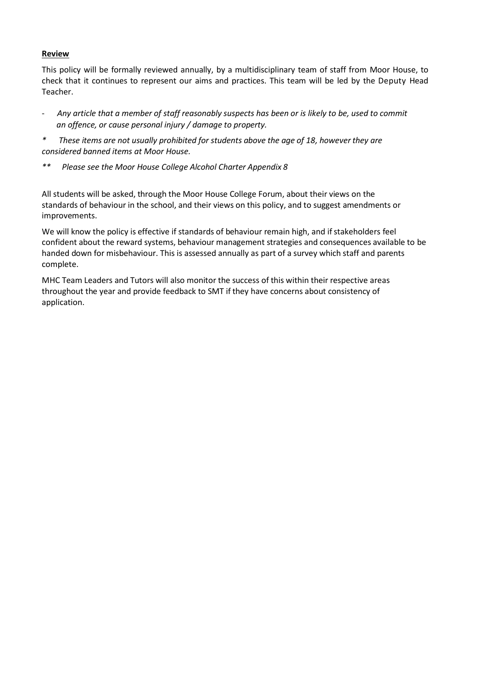#### **Review**

This policy will be formally reviewed annually, by a multidisciplinary team of staff from Moor House, to check that it continues to represent our aims and practices. This team will be led by the Deputy Head Teacher.

- Any article that a member of staff reasonably suspects has been or is likely to be, used to commit *an offence, or cause personal injury / damage to property.*

*\* These items are not usually prohibited for students above the age of 18, however they are considered banned items at Moor House.*

*\*\* Please see the Moor House College Alcohol Charter Appendix 8*

All students will be asked, through the Moor House College Forum, about their views on the standards of behaviour in the school, and their views on this policy, and to suggest amendments or improvements.

We will know the policy is effective if standards of behaviour remain high, and if stakeholders feel confident about the reward systems, behaviour management strategies and consequences available to be handed down for misbehaviour. This is assessed annually as part of a survey which staff and parents complete.

MHC Team Leaders and Tutors will also monitor the success of this within their respective areas throughout the year and provide feedback to SMT if they have concerns about consistency of application.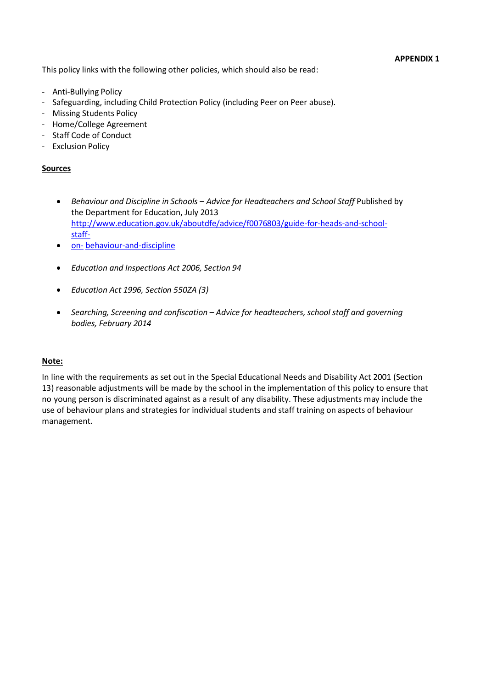This policy links with the following other policies, which should also be read:

- Anti-Bullying Policy
- Safeguarding, including Child Protection Policy (including Peer on Peer abuse).
- Missing Students Policy
- Home/College Agreement
- Staff Code of Conduct
- Exclusion Policy

#### **Sources**

- *Behaviour and Discipline in Schools – Advice for Headteachers and School Staff* Published by the Department for Education, July 2013 [http://www.education.gov.uk/aboutdfe/advice/f0076803/guide-for-heads-and-school](http://www.education.gov.uk/aboutdfe/advice/f0076803/guide-for-heads-and-school-staff-on-behaviour-and-discipline)[staff-](http://www.education.gov.uk/aboutdfe/advice/f0076803/guide-for-heads-and-school-staff-on-behaviour-and-discipline)
- [on-](http://www.education.gov.uk/aboutdfe/advice/f0076803/guide-for-heads-and-school-staff-on-behaviour-and-discipline) [behaviour-and-discipline](http://www.education.gov.uk/aboutdfe/advice/f0076803/guide-for-heads-and-school-staff-on-behaviour-and-discipline)
- *Education and Inspections Act 2006, Section 94*
- *Education Act 1996, Section 550ZA (3)*
- *Searching, Screening and confiscation – Advice for headteachers, school staff and governing bodies, February 2014*

#### **Note:**

In line with the requirements as set out in the Special Educational Needs and Disability Act 2001 (Section 13) reasonable adjustments will be made by the school in the implementation of this policy to ensure that no young person is discriminated against as a result of any disability. These adjustments may include the use of behaviour plans and strategies for individual students and staff training on aspects of behaviour management.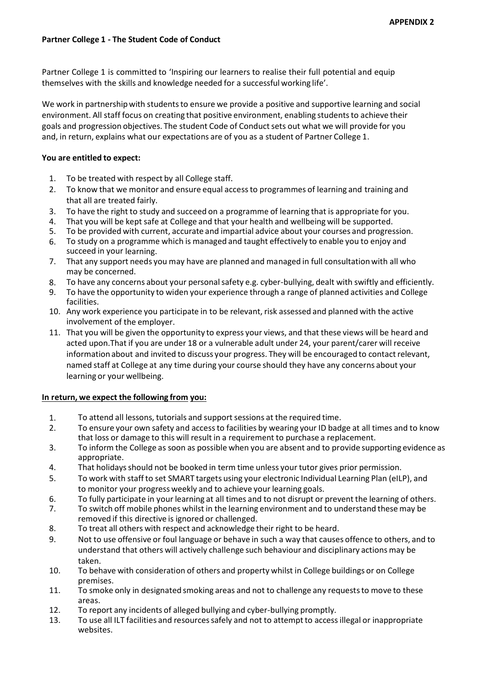#### **Partner College 1 - The Student Code of Conduct**

Partner College 1 is committed to 'Inspiring our learners to realise their full potential and equip themselves with the skills and knowledge needed for a successful working life'.

We work in partnership with students to ensure we provide a positive and supportive learning and social environment. All staff focus on creating that positive environment, enabling students to achieve their goals and progression objectives. The student Code of Conduct sets out what we will provide for you and, in return, explains what our expectations are of you as a student of Partner College 1.

#### **You are entitled to expect:**

- 1. To be treated with respect by all College staff.
- 2. To know that we monitor and ensure equal accessto programmes of learning and training and that all are treated fairly.
- 3. To have the right to study and succeed on a programme of learning that is appropriate for you.
- 4. That you will be kept safe at College and that your health and wellbeing will be supported.
- 5. To be provided with current, accurate and impartial advice about your courses and progression.
- 6. To study on a programme which is managed and taught effectively to enable you to enjoy and succeed in your learning.
- 7. That any support needs you may have are planned and managed in full consultationwith all who may be concerned.
- 8. To have any concerns about your personalsafety e.g. cyber-bullying, dealt with swiftly and efficiently.
- 9. To have the opportunity to widen your experience through a range of planned activities and College facilities.
- 10. Any work experience you participate in to be relevant, risk assessed and planned with the active involvement of the employer.
- 11. That you will be given the opportunity to express your views, and that these views will be heard and acted upon.That if you are under 18 or a vulnerable adult under 24, your parent/carer will receive information about and invited to discuss your progress. They will be encouraged to contact relevant, named staff at College at any time during your course should they have any concerns about your learning or your wellbeing.

#### **In return, we expect the following from you:**

- 1. To attend all lessons, tutorials and supportsessions at the required time.
- 2. To ensure your own safety and accessto facilities by wearing your ID badge at all times and to know that loss or damage to this will result in a requirement to purchase a replacement.
- 3. To inform the College as soon as possible when you are absent and to provide supporting evidence as appropriate.
- 4. That holidaysshould not be booked in term time unless your tutor gives prior permission.
- 5. To work with staff to set SMART targets using your electronic Individual Learning Plan (eILP), and to monitor your progress weekly and to achieve your learning goals.
- 6. To fully participate in your learning at all times and to not disrupt or prevent the learning of others.
- 7. To switch off mobile phones whilst in the learning environment and to understand these may be removed if this directive is ignored or challenged.
- 8. To treat all others with respect and acknowledge their right to be heard.
- 9. Not to use offensive or foul language or behave in such a way that causes offence to others, and to understand that others will actively challenge such behaviour and disciplinary actions may be taken.
- 10. To behave with consideration of others and property whilst in College buildings or on College premises.
- 11. To smoke only in designated smoking areas and not to challenge any requeststo move to these areas.
- 12. To report any incidents of alleged bullying and cyber-bullying promptly.
- 13. To use all ILT facilities and resourcessafely and not to attemptto accessillegal or inappropriate websites.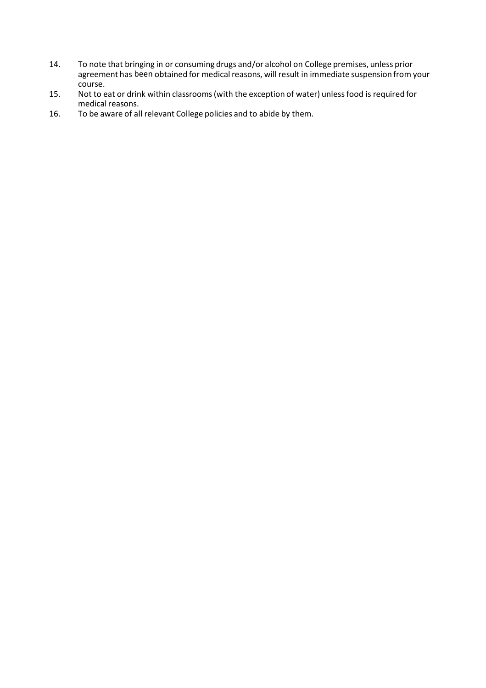- 14. To note that bringing in or consuming drugs and/or alcohol on College premises, unless prior agreement has been obtained for medical reasons, will result in immediate suspension from your course.
- 15. Not to eat or drink within classrooms(with the exception of water) unlessfood is required for medical reasons.
- 16. To be aware of all relevant College policies and to abide by them.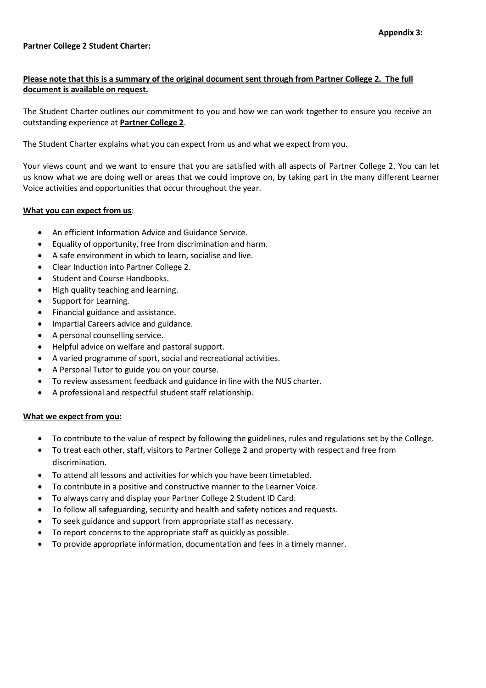#### **Partner College 2 Student Charter:**

# **Please note that this is a summary of the original document sent through from Partner College 2. The full document is available on request.**

The Student Charter outlines our commitment to you and how we can work together to ensure you receive an outstanding experience at **Partner College 2**.

The Student Charter explains what you can expect from us and what we expect from you.

Your views count and we want to ensure that you are satisfied with all aspects of Partner College 2. You can let us know what we are doing well or areas that we could improve on, by taking part in the many different Learner Voice activities and opportunities that occur throughout the year.

#### **What you can expect from us**:

- An efficient Information Advice and Guidance Service.
- Equality of opportunity, free from discrimination and harm.
- A safe environment in which to learn, socialise and live.
- Clear Induction into Partner College 2.
- Student and Course Handbooks.
- High quality teaching and learning.
- Support for Learning.
- Financial guidance and assistance.
- Impartial Careers advice and guidance.
- A personal counselling service.
- Helpful advice on welfare and pastoral support.
- A varied programme of sport, social and recreational activities.
- A Personal Tutor to guide you on your course.
- To review assessment feedback and guidance in line with the NUS charter.
- A professional and respectful student staff relationship.

#### **What we expect from you:**

- To contribute to the value of respect by following the guidelines, rules and regulations set by the College.
- To treat each other, staff, visitors to Partner College 2 and property with respect and free from discrimination.
- To attend all lessons and activities for which you have been timetabled.
- To contribute in a positive and constructive manner to the Learner Voice.
- To always carry and display your Partner College 2 Student ID Card.
- To follow all safeguarding, security and health and safety notices and requests.
- To seek guidance and support from appropriate staff as necessary.
- To report concerns to the appropriate staff as quickly as possible.
- To provide appropriate information, documentation and fees in a timely manner.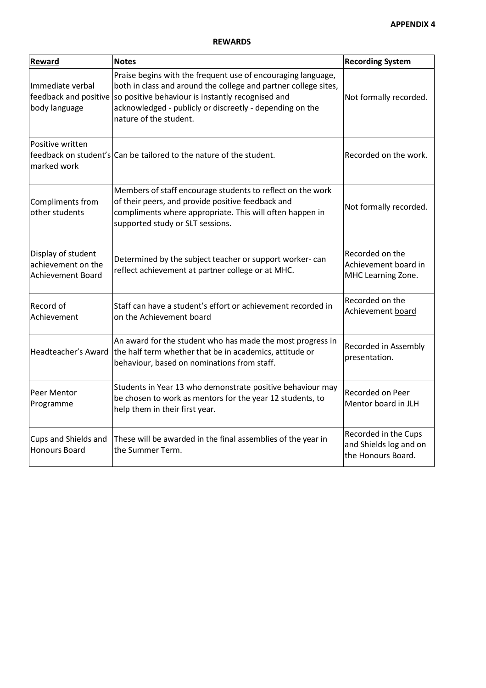| Reward                                                               | <b>Notes</b>                                                                                                                                                                                                                                                               | <b>Recording System</b>                                              |
|----------------------------------------------------------------------|----------------------------------------------------------------------------------------------------------------------------------------------------------------------------------------------------------------------------------------------------------------------------|----------------------------------------------------------------------|
| Immediate verbal<br>feedback and positive<br>body language           | Praise begins with the frequent use of encouraging language,<br>both in class and around the college and partner college sites,<br>so positive behaviour is instantly recognised and<br>acknowledged - publicly or discreetly - depending on the<br>nature of the student. | Not formally recorded.                                               |
| Positive written<br>marked work                                      | feedback on student's Can be tailored to the nature of the student.                                                                                                                                                                                                        | Recorded on the work.                                                |
| Compliments from<br>other students                                   | Members of staff encourage students to reflect on the work<br>of their peers, and provide positive feedback and<br>compliments where appropriate. This will often happen in<br>supported study or SLT sessions.                                                            | Not formally recorded.                                               |
| Display of student<br>achievement on the<br><b>Achievement Board</b> | Determined by the subject teacher or support worker-can<br>reflect achievement at partner college or at MHC.                                                                                                                                                               | Recorded on the<br>Achievement board in<br>MHC Learning Zone.        |
| Record of<br>Achievement                                             | Staff can have a student's effort or achievement recorded in<br>on the Achievement board                                                                                                                                                                                   | Recorded on the<br>Achievement board                                 |
| Headteacher's Award                                                  | An award for the student who has made the most progress in<br>the half term whether that be in academics, attitude or<br>behaviour, based on nominations from staff.                                                                                                       | Recorded in Assembly<br>presentation.                                |
| Peer Mentor<br>Programme                                             | Students in Year 13 who demonstrate positive behaviour may<br>be chosen to work as mentors for the year 12 students, to<br>help them in their first year.                                                                                                                  | Recorded on Peer<br>Mentor board in JLH                              |
| Cups and Shields and<br><b>Honours Board</b>                         | These will be awarded in the final assemblies of the year in<br>the Summer Term.                                                                                                                                                                                           | Recorded in the Cups<br>and Shields log and on<br>the Honours Board. |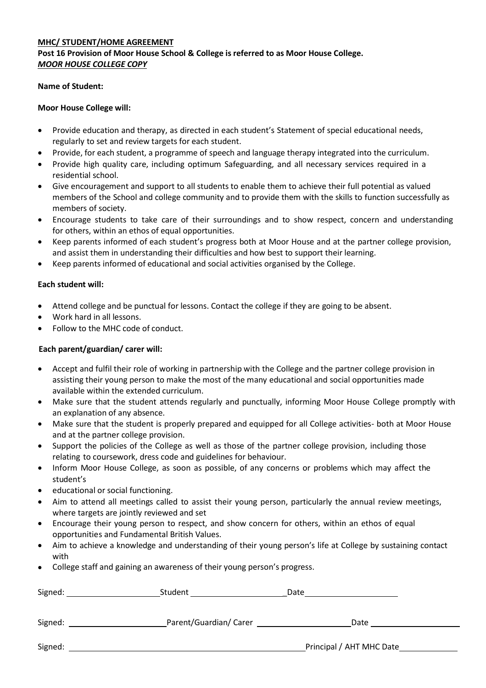# **MHC/ STUDENT/HOME AGREEMENT**

**Post 16 Provision of Moor House School & College isreferred to as Moor House College.** *MOOR HOUSE COLLEGE COPY*

#### **Name of Student:**

#### **Moor House College will:**

- Provide education and therapy, as directed in each student's Statement of special educational needs, regularly to set and review targets for each student.
- Provide, for each student, a programme of speech and language therapy integrated into the curriculum.
- Provide high quality care, including optimum Safeguarding, and all necessary services required in a residential school.
- Give encouragement and support to all students to enable them to achieve their full potential as valued members of the School and college community and to provide them with the skills to function successfully as members of society.
- Encourage students to take care of their surroundings and to show respect, concern and understanding for others, within an ethos of equal opportunities.
- Keep parents informed of each student's progress both at Moor House and at the partner college provision, and assist them in understanding their difficulties and how best to support their learning.
- Keep parents informed of educational and social activities organised by the College.

#### **Each student will:**

- Attend college and be punctual for lessons. Contact the college if they are going to be absent.
- Work hard in all lessons.
- Follow to the MHC code of conduct.

#### **Each parent/guardian/ carer will:**

- Accept and fulfil their role of working in partnership with the College and the partner college provision in assisting their young person to make the most of the many educational and social opportunities made available within the extended curriculum.
- Make sure that the student attends regularly and punctually, informing Moor House College promptly with an explanation of any absence.
- Make sure that the student is properly prepared and equipped for all College activities- both at Moor House and at the partner college provision.
- Support the policies of the College as well as those of the partner college provision, including those relating to coursework, dress code and guidelines for behaviour.
- Inform Moor House College, as soon as possible, of any concerns or problems which may affect the student's
- educational or social functioning.
- Aim to attend all meetings called to assist their young person, particularly the annual review meetings, where targets are jointly reviewed and set
- Encourage their young person to respect, and show concern for others, within an ethos of equal opportunities and Fundamental British Values.
- Aim to achieve a knowledge and understanding of their young person's life at College by sustaining contact with
- College staff and gaining an awareness of their young person's progress.

| Signed: | Student               | Date                     |
|---------|-----------------------|--------------------------|
| Signed: | Parent/Guardian/Carer | Date                     |
| Signed: |                       | Principal / AHT MHC Date |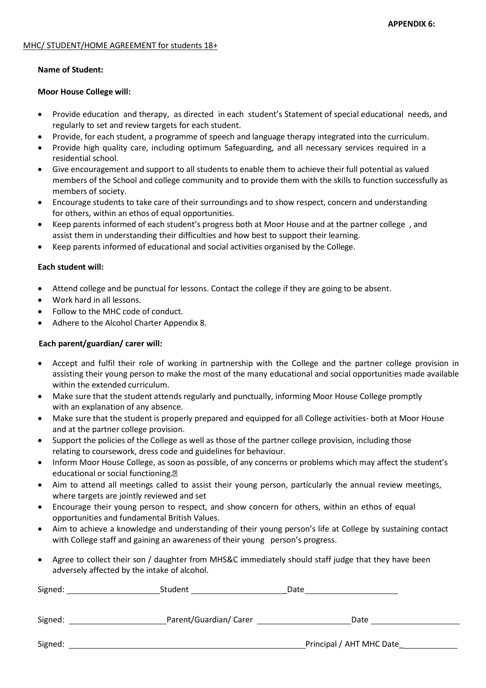#### MHC/ STUDENT/HOME AGREEMENT for students 18+

#### **Name of Student:**

#### **Moor House College will:**

- Provide education and therapy, as directed in each student's Statement of special educational needs, and regularly to set and review targets for each student.
- Provide, for each student, a programme of speech and language therapy integrated into the curriculum.
- Provide high quality care, including optimum Safeguarding, and all necessary services required in a residential school.
- Give encouragement and support to all students to enable them to achieve their full potential as valued members of the School and college community and to provide them with the skills to function successfully as members of society.
- Encourage students to take care of their surroundings and to show respect, concern and understanding for others, within an ethos of equal opportunities.
- Keep parents informed of each student's progress both at Moor House and at the partner college , and assist them in understanding their difficulties and how best to support their learning.
- Keep parents informed of educational and social activities organised by the College.

#### **Each student will:**

- Attend college and be punctual for lessons. Contact the college if they are going to be absent.
- Work hard in all lessons.
- Follow to the MHC code of conduct.
- Adhere to the Alcohol Charter Appendix 8.

#### **Each parent/guardian/ carer will:**

- Accept and fulfil their role of working in partnership with the College and the partner college provision in assisting their young person to make the most of the many educational and social opportunities made available within the extended curriculum.
- Make sure that the student attends regularly and punctually, informing Moor House College promptly with an explanation of any absence.
- Make sure that the student is properly prepared and equipped for all College activities- both at Moor House and at the partner college provision.
- Support the policies of the College as well as those of the partner college provision, including those relating to coursework, dress code and guidelines for behaviour.
- Inform Moor House College, as soon as possible, of any concerns or problems which may affect the student's educational or social functioning.<sup>[2]</sup>
- Aim to attend all meetings called to assist their young person, particularly the annual review meetings, where targets are jointly reviewed and set
- Encourage their young person to respect, and show concern for others, within an ethos of equal opportunities and fundamental British Values.
- Aim to achieve a knowledge and understanding of their young person's life at College by sustaining contact with College staff and gaining an awareness of their young person's progress.
- Agree to collect their son / daughter from MHS&C immediately should staff judge that they have been adversely affected by the intake of alcohol.

| Signed: | Student                | Date                     |  |
|---------|------------------------|--------------------------|--|
| Signed: | Parent/Guardian/ Carer | Date                     |  |
| Signed: |                        | Principal / AHT MHC Date |  |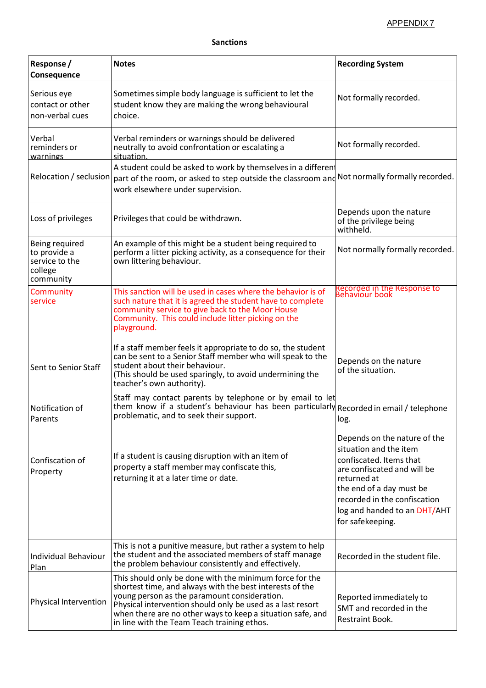| Response/<br>Consequence                                                 | <b>Notes</b>                                                                                                                                                                                                                                                                                                                                   | <b>Recording System</b>                                                                                                                                                                                                                         |
|--------------------------------------------------------------------------|------------------------------------------------------------------------------------------------------------------------------------------------------------------------------------------------------------------------------------------------------------------------------------------------------------------------------------------------|-------------------------------------------------------------------------------------------------------------------------------------------------------------------------------------------------------------------------------------------------|
| Serious eye<br>contact or other<br>non-verbal cues                       | Sometimes simple body language is sufficient to let the<br>student know they are making the wrong behavioural<br>choice.                                                                                                                                                                                                                       | Not formally recorded.                                                                                                                                                                                                                          |
| Verbal<br>reminders or<br>warnings                                       | Verbal reminders or warnings should be delivered<br>neutrally to avoid confrontation or escalating a<br>situation.                                                                                                                                                                                                                             | Not formally recorded.                                                                                                                                                                                                                          |
| Relocation / seclusion                                                   | A student could be asked to work by themselves in a different<br>part of the room, or asked to step outside the classroom and<br>work elsewhere under supervision.                                                                                                                                                                             | Not normally formally recorded.                                                                                                                                                                                                                 |
| Loss of privileges                                                       | Privileges that could be withdrawn.                                                                                                                                                                                                                                                                                                            | Depends upon the nature<br>of the privilege being<br>withheld.                                                                                                                                                                                  |
| Being required<br>to provide a<br>service to the<br>college<br>community | An example of this might be a student being required to<br>perform a litter picking activity, as a consequence for their<br>own littering behaviour.                                                                                                                                                                                           | Not normally formally recorded.                                                                                                                                                                                                                 |
| Community<br>service                                                     | This sanction will be used in cases where the behavior is of<br>such nature that it is agreed the student have to complete<br>community service to give back to the Moor House<br>Community. This could include litter picking on the<br>playground.                                                                                           | Recorded in the Response to<br>Behaviour book                                                                                                                                                                                                   |
| Sent to Senior Staff                                                     | If a staff member feels it appropriate to do so, the student<br>can be sent to a Senior Staff member who will speak to the<br>student about their behaviour.<br>(This should be used sparingly, to avoid undermining the<br>teacher's own authority).                                                                                          | Depends on the nature<br>of the situation.                                                                                                                                                                                                      |
| Notification of<br>Parents                                               | Staff may contact parents by telephone or by email to let<br>them know if a student's behaviour has been particularly Recorded in email / telephone<br>problematic, and to seek their support.                                                                                                                                                 | log.                                                                                                                                                                                                                                            |
| Confiscation of<br>Property                                              | If a student is causing disruption with an item of<br>property a staff member may confiscate this,<br>returning it at a later time or date.                                                                                                                                                                                                    | Depends on the nature of the<br>situation and the item<br>confiscated. Items that<br>are confiscated and will be<br>returned at<br>the end of a day must be<br>recorded in the confiscation<br>log and handed to an DHT/AHT<br>for safekeeping. |
| <b>Individual Behaviour</b><br>Plan                                      | This is not a punitive measure, but rather a system to help<br>the student and the associated members of staff manage<br>the problem behaviour consistently and effectively.                                                                                                                                                                   | Recorded in the student file.                                                                                                                                                                                                                   |
| Physical Intervention                                                    | This should only be done with the minimum force for the<br>shortest time, and always with the best interests of the<br>young person as the paramount consideration.<br>Physical intervention should only be used as a last resort<br>when there are no other ways to keep a situation safe, and<br>in line with the Team Teach training ethos. | Reported immediately to<br>SMT and recorded in the<br>Restraint Book.                                                                                                                                                                           |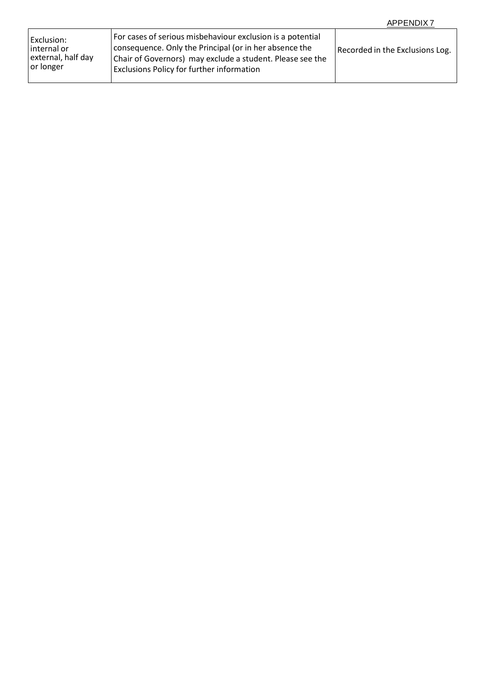| Exclusion:<br>linternal or<br>external, half day<br>or longer | For cases of serious misbehaviour exclusion is a potential<br>consequence. Only the Principal (or in her absence the<br>Chair of Governors) may exclude a student. Please see the<br><b>Exclusions Policy for further information</b> | Recorded in the Exclusions Log. |
|---------------------------------------------------------------|---------------------------------------------------------------------------------------------------------------------------------------------------------------------------------------------------------------------------------------|---------------------------------|
|---------------------------------------------------------------|---------------------------------------------------------------------------------------------------------------------------------------------------------------------------------------------------------------------------------------|---------------------------------|

APPENDIX 7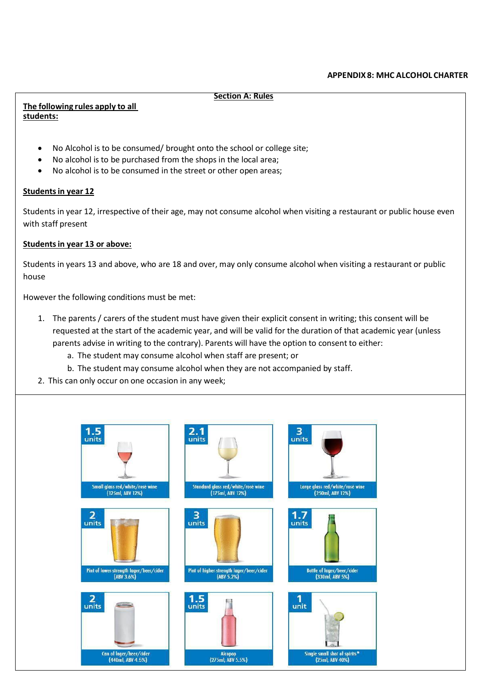#### **APPENDIX8: MHC ALCOHOL CHARTER**

#### **Section A: Rules**

**The following rules apply to all students:**

- No Alcohol is to be consumed/ brought onto the school or college site;
- No alcohol is to be purchased from the shops in the local area;
- No alcohol is to be consumed in the street or other open areas;

#### **Studentsin year 12**

Students in year 12, irrespective of their age, may not consume alcohol when visiting a restaurant or public house even with staff present

#### **Studentsin year 13 or above:**

Students in years 13 and above, who are 18 and over, may only consume alcohol when visiting a restaurant or public house

However the following conditions must be met:

- 1. The parents / carers of the student must have given their explicit consent in writing; this consent will be requested at the start of the academic year, and will be valid for the duration of that academic year (unless parents advise in writing to the contrary). Parents will have the option to consent to either:
	- a. The student may consume alcohol when staff are present; or
	- b. The student may consume alcohol when they are not accompanied by staff.
- 2. This can only occur on one occasion in any week;

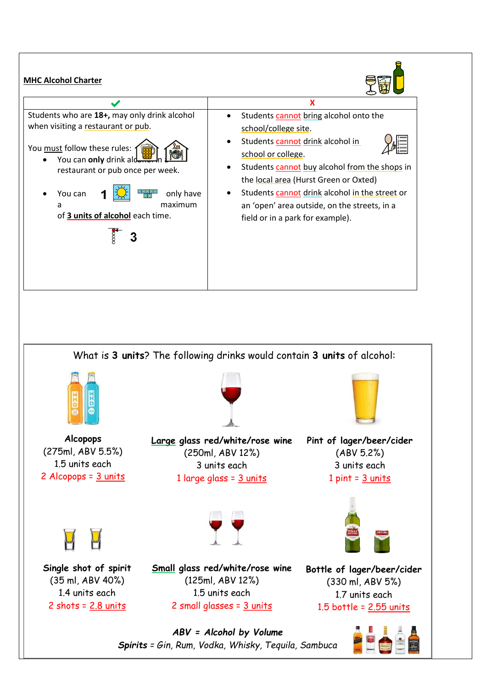

*Spirits = Gin, Rum, Vodka, Whisky, Tequila, Sambuca*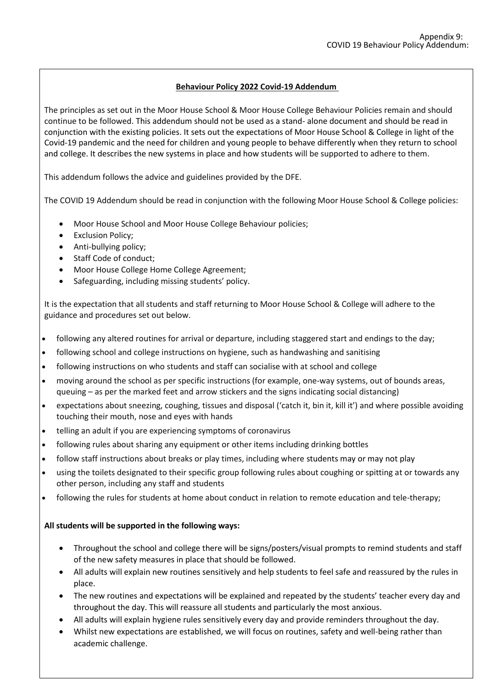## **Behaviour Policy 2022 Covid-19 Addendum**

The principles as set out in the Moor House School & Moor House College Behaviour Policies remain and should continue to be followed. This addendum should not be used as a stand- alone document and should be read in conjunction with the existing policies. It sets out the expectations of Moor House School & College in light of the Covid-19 pandemic and the need for children and young people to behave differently when they return to school and college. It describes the new systems in place and how students will be supported to adhere to them.

This addendum follows the advice and guidelines provided by the DFE.

The COVID 19 Addendum should be read in conjunction with the following Moor House School & College policies:

- Moor House School and Moor House College Behaviour policies;
- Exclusion Policy;
- Anti-bullying policy;
- Staff Code of conduct;
- Moor House College Home College Agreement;
- Safeguarding, including missing students' policy.

It is the expectation that all students and staff returning to Moor House School & College will adhere to the guidance and procedures set out below.

- following any altered routines for arrival or departure, including staggered start and endings to the day;
- following school and college instructions on hygiene, such as handwashing and sanitising
- following instructions on who students and staff can socialise with at school and college
- moving around the school as per specific instructions (for example, one-way systems, out of bounds areas, queuing – as per the marked feet and arrow stickers and the signs indicating social distancing)
- expectations about sneezing, coughing, tissues and disposal ('catch it, bin it, kill it') and where possible avoiding touching their mouth, nose and eyes with hands
- telling an adult if you are experiencing symptoms of coronavirus
- following rules about sharing any equipment or other items including drinking bottles
- follow staff instructions about breaks or play times, including where students may or may not play
- using the toilets designated to their specific group following rules about coughing or spitting at or towards any other person, including any staff and students
- following the rules for students at home about conduct in relation to remote education and tele-therapy;

#### **All students will be supported in the following ways:**

- Throughout the school and college there will be signs/posters/visual prompts to remind students and staff of the new safety measures in place that should be followed.
- All adults will explain new routines sensitively and help students to feel safe and reassured by the rules in place.
- The new routines and expectations will be explained and repeated by the students' teacher every day and throughout the day. This will reassure all students and particularly the most anxious.
- All adults will explain hygiene rules sensitively every day and provide reminders throughout the day.
- Whilst new expectations are established, we will focus on routines, safety and well-being rather than academic challenge.